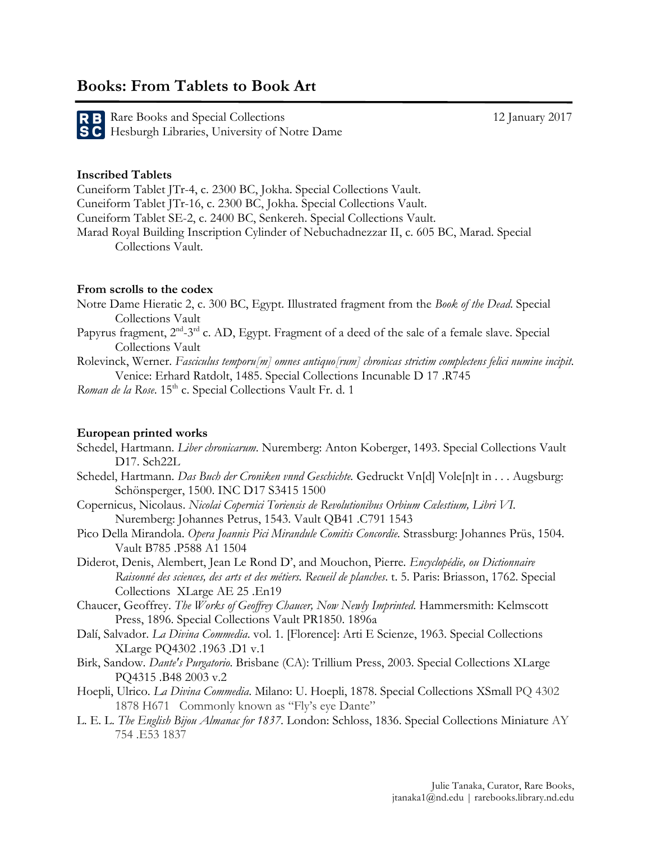# **Books: From Tablets to Book Art**

Rare Books and Special Collections 12 January 2017 Hesburgh Libraries, University of Notre Dame

## **Inscribed Tablets**

Cuneiform Tablet JTr-4, c. 2300 BC, Jokha. Special Collections Vault. Cuneiform Tablet JTr-16, c. 2300 BC, Jokha. Special Collections Vault. Cuneiform Tablet SE-2, c. 2400 BC, Senkereh. Special Collections Vault. Marad Royal Building Inscription Cylinder of Nebuchadnezzar II, c. 605 BC, Marad. Special Collections Vault.

#### **From scrolls to the codex**

Notre Dame Hieratic 2, c. 300 BC, Egypt. Illustrated fragment from the *Book of the Dead*. Special Collections Vault

- Papyrus fragment, 2<sup>nd</sup>-3<sup>rd</sup> c. AD, Egypt. Fragment of a deed of the sale of a female slave. Special Collections Vault
- Rolevinck, Werner. *Fasciculus temporu[m] omnes antiquo[rum] chronicas strictim complectens felici numine incipit*. Venice: Erhard Ratdolt, 1485. Special Collections Incunable D 17 .R745

*Roman de la Rose*. 15<sup>th</sup> c. Special Collections Vault Fr. d. 1

### **European printed works**

- Schedel, Hartmann. *Liber chronicarum*. Nuremberg: Anton Koberger, 1493. Special Collections Vault D17. Sch22L
- Schedel, Hartmann. *Das Buch der Croniken vnnd Geschichte.* Gedruckt Vn[d] Vole[n]t in . . . Augsburg: Schönsperger, 1500. INC D17 S3415 1500
- Copernicus, Nicolaus. *Nicolai Copernici Toriensis de Revolutionibus Orbium Cœlestium, Libri VI.* Nuremberg: Johannes Petrus, 1543. Vault QB41 .C791 1543
- Pico Della Mirandola. *Opera Joannis Pici Mirandule Comitis Concordie.* Strassburg: Johannes Prüs, 1504. Vault B785 .P588 A1 1504
- Diderot, Denis, Alembert, Jean Le Rond D', and Mouchon, Pierre*. Encyclopédie, ou Dictionnaire Raisonné des sciences, des arts et des métiers. Recueil de planches*. t. 5. Paris: Briasson, 1762. Special Collections XLarge AE 25 .En19
- Chaucer, Geoffrey. *The Works of Geoffrey Chaucer, Now Newly Imprinted*. Hammersmith: Kelmscott Press, 1896. Special Collections Vault PR1850. 1896a
- Dalí, Salvador. *La Divina Commedia*. vol. 1. [Florence]: Arti E Scienze, 1963. Special Collections XLarge PQ4302 .1963 .D1 v.1
- Birk, Sandow. *Dante's Purgatorio*. Brisbane (CA): Trillium Press, 2003. Special Collections XLarge PQ4315 .B48 2003 v.2
- Hoepli, Ulrico. *La Divina Commedia*. Milano: U. Hoepli, 1878. Special Collections XSmall PQ 4302 1878 H671 Commonly known as "Fly's eye Dante"
- L. E. L. *The English Bijou Almanac for 1837*. London: Schloss, 1836. Special Collections Miniature AY 754 .E53 1837